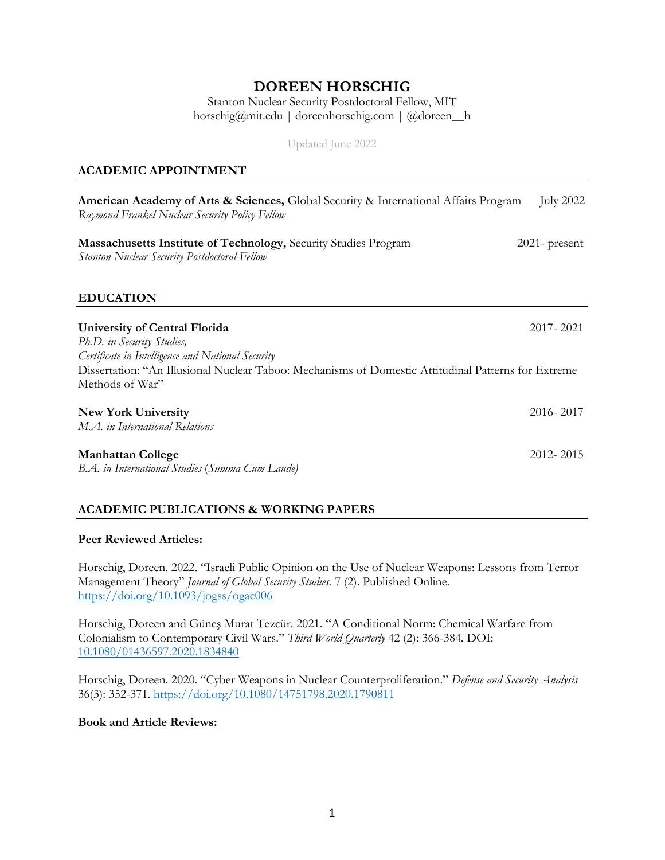# **DOREEN HORSCHIG**

Stanton Nuclear Security Postdoctoral Fellow, MIT horschig@mit.edu | doreenhorschig.com | @doreen\_\_h

Updated June 2022

#### **ACADEMIC APPOINTMENT**

| American Academy of Arts & Sciences, Global Security & International Affairs Program<br>Raymond Frankel Nuclear Security Policy Fellow                                      | <b>July 2022</b> |
|-----------------------------------------------------------------------------------------------------------------------------------------------------------------------------|------------------|
| Massachusetts Institute of Technology, Security Studies Program<br><b>Stanton Nuclear Security Postdoctoral Fellow</b>                                                      | $2021$ - present |
| <b>EDUCATION</b>                                                                                                                                                            |                  |
| University of Central Florida<br>Ph.D. in Security Studies,                                                                                                                 | 2017-2021        |
| Certificate in Intelligence and National Security<br>Dissertation: "An Illusional Nuclear Taboo: Mechanisms of Domestic Attitudinal Patterns for Extreme<br>Methods of War" |                  |
| <b>New York University</b><br>M.A. in International Relations                                                                                                               | 2016-2017        |
| <b>Manhattan College</b><br>B.A. in International Studies (Summa Cum Laude)                                                                                                 | 2012-2015        |

#### **ACADEMIC PUBLICATIONS & WORKING PAPERS**

#### **Peer Reviewed Articles:**

Horschig, Doreen. 2022. "Israeli Public Opinion on the Use of Nuclear Weapons: Lessons from Terror Management Theory" *Journal of Global Security Studies.* 7 (2). Published Online. https://doi.org/10.1093/jogss/ogac006

Horschig, Doreen and Güneş Murat Tezcür. 2021. "A Conditional Norm: Chemical Warfare from Colonialism to Contemporary Civil Wars." *Third World Quarterly* 42 (2): 366-384*.* DOI: 10.1080/01436597.2020.1834840

Horschig, Doreen. 2020. "Cyber Weapons in Nuclear Counterproliferation." *Defense and Security Analysis*  36(3): 352-371. https://doi.org/10.1080/14751798.2020.1790811

#### **Book and Article Reviews:**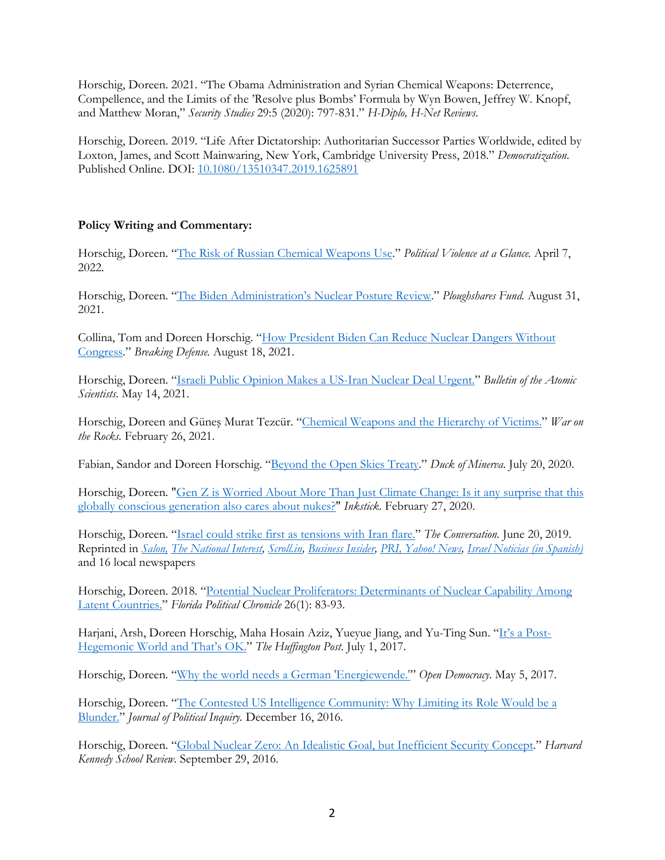Horschig, Doreen. 2021. "The Obama Administration and Syrian Chemical Weapons: Deterrence, Compellence, and the Limits of the 'Resolve plus Bombs' Formula by Wyn Bowen, Jeffrey W. Knopf, and Matthew Moran," *Security Studies* 29:5 (2020): 797-831." *H-Diplo, H-Net Reviews*.

Horschig, Doreen. 2019. "Life After Dictatorship: Authoritarian Successor Parties Worldwide, edited by Loxton, James, and Scott Mainwaring, New York, Cambridge University Press, 2018." *Democratization*. Published Online. DOI: 10.1080/13510347.2019.1625891

#### **Policy Writing and Commentary:**

Horschig, Doreen. "The Risk of Russian Chemical Weapons Use." *Political Violence at a Glance.* April 7, 2022.

Horschig, Doreen. "The Biden Administration's Nuclear Posture Review." *Ploughshares Fund.* August 31, 2021.

Collina, Tom and Doreen Horschig. "How President Biden Can Reduce Nuclear Dangers Without Congress." *Breaking Defense.* August 18, 2021.

Horschig, Doreen. "Israeli Public Opinion Makes a US-Iran Nuclear Deal Urgent." *Bulletin of the Atomic Scientists*. May 14, 2021.

Horschig, Doreen and Güneş Murat Tezcür. "Chemical Weapons and the Hierarchy of Victims." *War on the Rocks.* February 26, 2021.

Fabian, Sandor and Doreen Horschig. "Beyond the Open Skies Treaty." *Duck of Minerva.* July 20, 2020.

Horschig, Doreen. "Gen Z is Worried About More Than Just Climate Change: Is it any surprise that this globally conscious generation also cares about nukes?" *Inkstick.* February 27, 2020.

Horschig, Doreen. "Israel could strike first as tensions with Iran flare." *The Conversation.* June 20, 2019. Reprinted in *Salon, The National Interest, Scroll.in, Business Insider, PRI, Yahoo! News, Israel Noticias (in Spanish)* and 16 local newspapers

Horschig, Doreen. 2018. "Potential Nuclear Proliferators: Determinants of Nuclear Capability Among Latent Countries." *Florida Political Chronicle* 26(1): 83-93.

Harjani, Arsh, Doreen Horschig, Maha Hosain Aziz, Yueyue Jiang, and Yu-Ting Sun. "It's a Post-Hegemonic World and That's OK." *The Huffington Post*. July 1, 2017.

Horschig, Doreen. "Why the world needs a German 'Energiewende.'" *Open Democracy*. May 5, 2017.

Horschig, Doreen. "The Contested US Intelligence Community: Why Limiting its Role Would be a Blunder." *Journal of Political Inquiry.* December 16, 2016.

Horschig, Doreen. "Global Nuclear Zero: An Idealistic Goal, but Inefficient Security Concept." *Harvard Kennedy School Review.* September 29, 2016.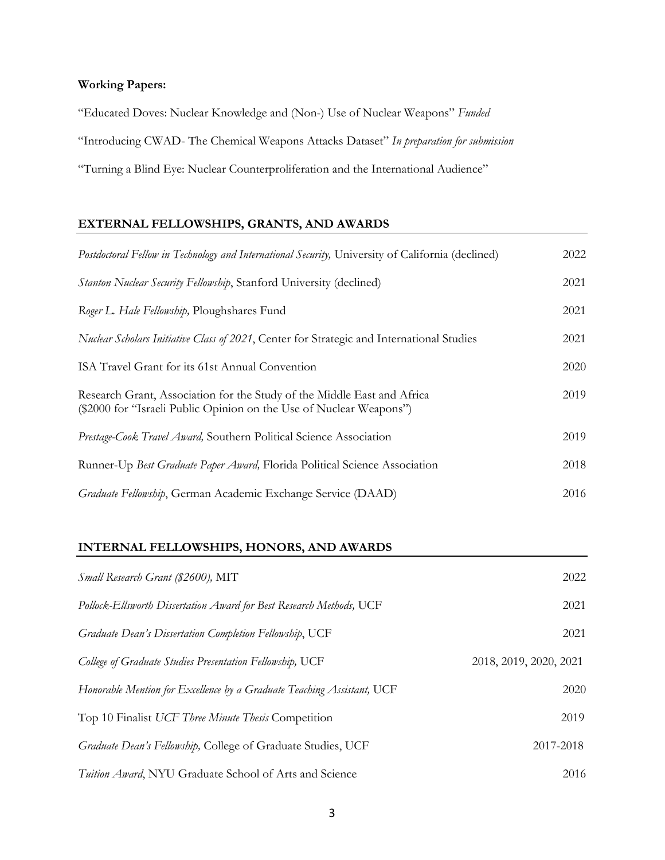# **Working Papers:**

"Educated Doves: Nuclear Knowledge and (Non-) Use of Nuclear Weapons" *Funded*

"Introducing CWAD- The Chemical Weapons Attacks Dataset" *In preparation for submission*

"Turning a Blind Eye: Nuclear Counterproliferation and the International Audience"

# **EXTERNAL FELLOWSHIPS, GRANTS, AND AWARDS**

| Postdoctoral Fellow in Technology and International Security, University of California (declined)                                              | 2022 |
|------------------------------------------------------------------------------------------------------------------------------------------------|------|
| <b>Stanton Nuclear Security Fellowship, Stanford University (declined)</b>                                                                     | 2021 |
| Roger L. Hale Fellowship, Ploughshares Fund                                                                                                    | 2021 |
| Nuclear Scholars Initiative Class of 2021, Center for Strategic and International Studies                                                      | 2021 |
| ISA Travel Grant for its 61st Annual Convention                                                                                                | 2020 |
| Research Grant, Association for the Study of the Middle East and Africa<br>(\$2000 for "Israeli Public Opinion on the Use of Nuclear Weapons") | 2019 |
| Prestage-Cook Travel Award, Southern Political Science Association                                                                             | 2019 |
| Runner-Up Best Graduate Paper Award, Florida Political Science Association                                                                     | 2018 |
| Graduate Fellowship, German Academic Exchange Service (DAAD)                                                                                   | 2016 |

### **INTERNAL FELLOWSHIPS, HONORS, AND AWARDS**

| Small Research Grant (\$2600), MIT                                     | 2022                   |
|------------------------------------------------------------------------|------------------------|
| Pollock-Ellsworth Dissertation Award for Best Research Methods, UCF    | 2021                   |
| Graduate Dean's Dissertation Completion Fellowship, UCF                | 2021                   |
| College of Graduate Studies Presentation Fellowship, UCF               | 2018, 2019, 2020, 2021 |
| Honorable Mention for Excellence by a Graduate Teaching Assistant, UCF | 2020                   |
| Top 10 Finalist UCF Three Minute Thesis Competition                    | 2019                   |
| Graduate Dean's Fellowship, College of Graduate Studies, UCF           | 2017-2018              |
| <i>Tuition Award</i> , NYU Graduate School of Arts and Science         | 2016                   |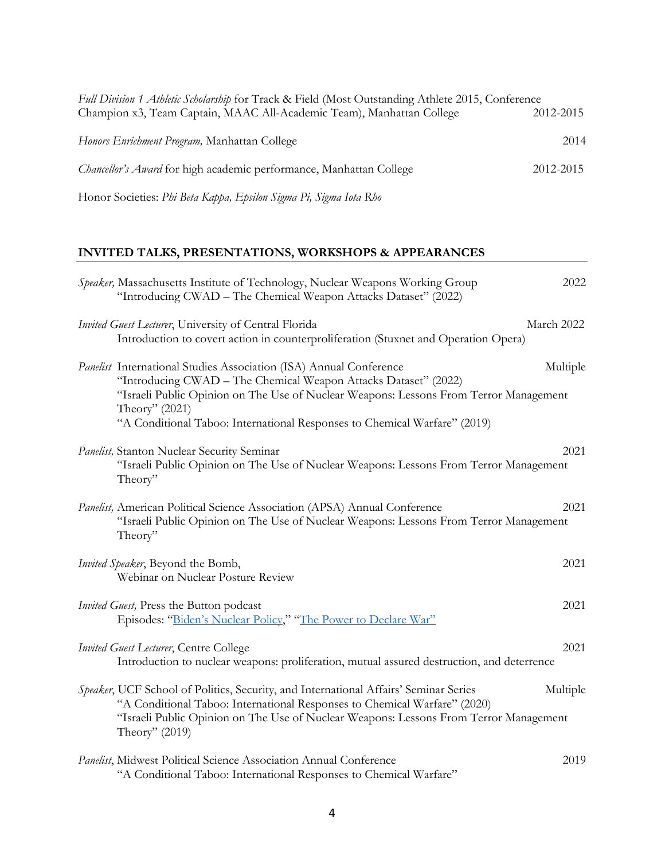| Full Division 1 Athletic Scholarship for Track & Field (Most Outstanding Athlete 2015, Conference |           |
|---------------------------------------------------------------------------------------------------|-----------|
| Champion x3, Team Captain, MAAC All-Academic Team), Manhattan College                             | 2012-2015 |
| Honors Enrichment Program, Manhattan College                                                      | 2014      |
| Chancellor's Award for high academic performance, Manhattan College                               | 2012-2015 |
| Honor Societies: Phi Beta Kappa, Epsilon Sigma Pi, Sigma Iota Rho                                 |           |

# **INVITED TALKS, PRESENTATIONS, WORKSHOPS & APPEARANCES**

| Speaker, Massachusetts Institute of Technology, Nuclear Weapons Working Group<br>"Introducing CWAD – The Chemical Weapon Attacks Dataset" (2022)                                                                                                                                                                              | 2022       |
|-------------------------------------------------------------------------------------------------------------------------------------------------------------------------------------------------------------------------------------------------------------------------------------------------------------------------------|------------|
| Invited Guest Lecturer, University of Central Florida<br>Introduction to covert action in counterproliferation (Stuxnet and Operation Opera)                                                                                                                                                                                  | March 2022 |
| Panelist International Studies Association (ISA) Annual Conference<br>"Introducing CWAD - The Chemical Weapon Attacks Dataset" (2022)<br>"Israeli Public Opinion on The Use of Nuclear Weapons: Lessons From Terror Management<br>Theory" (2021)<br>"A Conditional Taboo: International Responses to Chemical Warfare" (2019) | Multiple   |
| Panelist, Stanton Nuclear Security Seminar<br>"Israeli Public Opinion on The Use of Nuclear Weapons: Lessons From Terror Management<br>Theory"                                                                                                                                                                                | 2021       |
| Panelist, American Political Science Association (APSA) Annual Conference<br>"Israeli Public Opinion on The Use of Nuclear Weapons: Lessons From Terror Management<br>Theory"                                                                                                                                                 | 2021       |
| Invited Speaker, Beyond the Bomb,<br>Webinar on Nuclear Posture Review                                                                                                                                                                                                                                                        | 2021       |
| <i>Invited Guest</i> , Press the Button podcast<br>Episodes: "Biden's Nuclear Policy," "The Power to Declare War"                                                                                                                                                                                                             | 2021       |
| <b>Invited Guest Lecturer, Centre College</b><br>Introduction to nuclear weapons: proliferation, mutual assured destruction, and deterrence                                                                                                                                                                                   | 2021       |
| Speaker, UCF School of Politics, Security, and International Affairs' Seminar Series<br>"A Conditional Taboo: International Responses to Chemical Warfare" (2020)<br>"Israeli Public Opinion on The Use of Nuclear Weapons: Lessons From Terror Management<br>Theory" $(2019)$                                                | Multiple   |
| Panelist, Midwest Political Science Association Annual Conference<br>"A Conditional Taboo: International Responses to Chemical Warfare"                                                                                                                                                                                       | 2019       |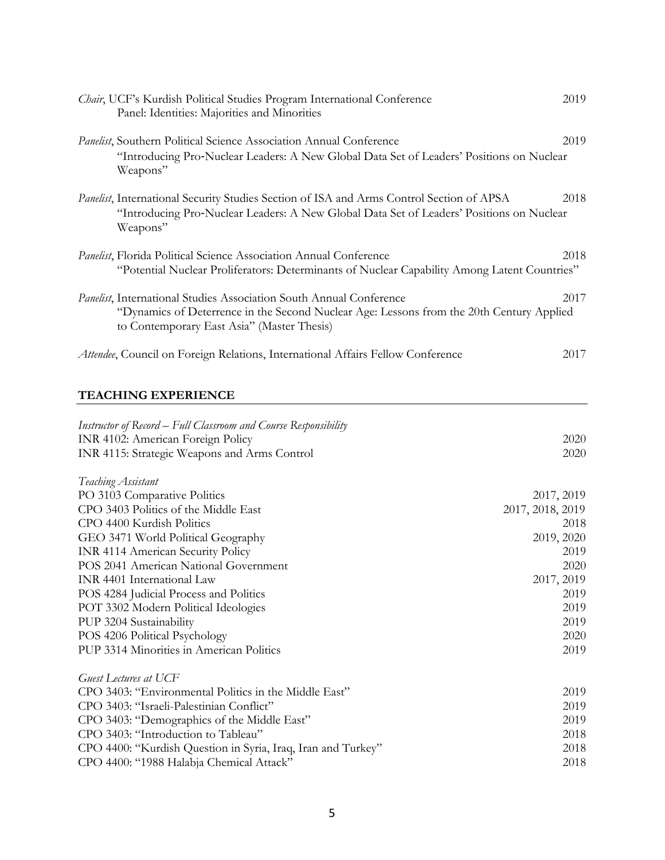| Chair, UCF's Kurdish Political Studies Program International Conference<br>Panel: Identities: Majorities and Minorities                                                                                                                                                                                                                                                                                                                                                    | 2019                                                                                                                       |
|----------------------------------------------------------------------------------------------------------------------------------------------------------------------------------------------------------------------------------------------------------------------------------------------------------------------------------------------------------------------------------------------------------------------------------------------------------------------------|----------------------------------------------------------------------------------------------------------------------------|
| Panelist, Southern Political Science Association Annual Conference<br>"Introducing Pro-Nuclear Leaders: A New Global Data Set of Leaders' Positions on Nuclear<br>Weapons"                                                                                                                                                                                                                                                                                                 | 2019                                                                                                                       |
| Panelist, International Security Studies Section of ISA and Arms Control Section of APSA<br>"Introducing Pro-Nuclear Leaders: A New Global Data Set of Leaders' Positions on Nuclear<br>Weapons"                                                                                                                                                                                                                                                                           | 2018                                                                                                                       |
| Panelist, Florida Political Science Association Annual Conference<br>"Potential Nuclear Proliferators: Determinants of Nuclear Capability Among Latent Countries"                                                                                                                                                                                                                                                                                                          | 2018                                                                                                                       |
| Panelist, International Studies Association South Annual Conference<br>"Dynamics of Deterrence in the Second Nuclear Age: Lessons from the 20th Century Applied<br>to Contemporary East Asia" (Master Thesis)                                                                                                                                                                                                                                                              | 2017                                                                                                                       |
| Attendee, Council on Foreign Relations, International Affairs Fellow Conference                                                                                                                                                                                                                                                                                                                                                                                            | 2017                                                                                                                       |
| <b>TEACHING EXPERIENCE</b>                                                                                                                                                                                                                                                                                                                                                                                                                                                 |                                                                                                                            |
| Instructor of Record – Full Classroom and Course Responsibility<br>INR 4102: American Foreign Policy<br>INR 4115: Strategic Weapons and Arms Control                                                                                                                                                                                                                                                                                                                       | 2020<br>2020                                                                                                               |
| Teaching Assistant<br>PO 3103 Comparative Politics<br>CPO 3403 Politics of the Middle East<br>CPO 4400 Kurdish Politics<br>GEO 3471 World Political Geography<br><b>INR 4114 American Security Policy</b><br>POS 2041 American National Government<br>INR 4401 International Law<br>POS 4284 Judicial Process and Politics<br>POT 3302 Modern Political Ideologies<br>PUP 3204 Sustainability<br>POS 4206 Political Psychology<br>PUP 3314 Minorities in American Politics | 2017, 2019<br>2017, 2018, 2019<br>2018<br>2019, 2020<br>2019<br>2020<br>2017, 2019<br>2019<br>2019<br>2019<br>2020<br>2019 |
| <b>Guest Lectures at UCF</b><br>CPO 3403: "Environmental Politics in the Middle East"<br>CPO 3403: "Israeli-Palestinian Conflict"<br>CPO 3403: "Demographics of the Middle East"<br>CPO 3403: "Introduction to Tableau"<br>CPO 4400: "Kurdish Question in Syria, Iraq, Iran and Turkey"<br>CPO 4400: "1988 Halabja Chemical Attack"                                                                                                                                        | 2019<br>2019<br>2019<br>2018<br>2018<br>2018                                                                               |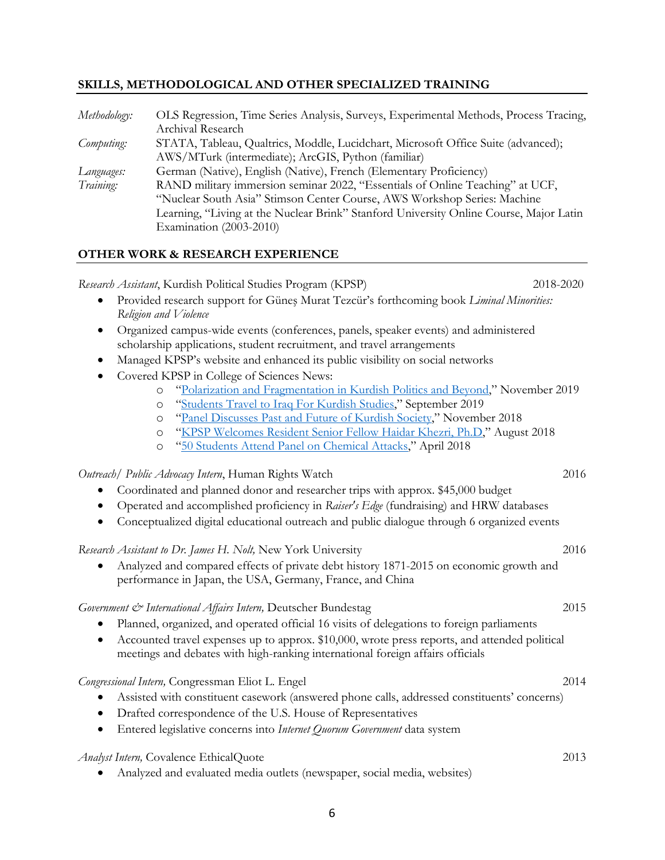#### **SKILLS, METHODOLOGICAL AND OTHER SPECIALIZED TRAINING**

| Methodology: | OLS Regression, Time Series Analysis, Surveys, Experimental Methods, Process Tracing,  |
|--------------|----------------------------------------------------------------------------------------|
|              | Archival Research                                                                      |
| Computing:   | STATA, Tableau, Qualtrics, Moddle, Lucidchart, Microsoft Office Suite (advanced);      |
|              | AWS/MTurk (intermediate); ArcGIS, Python (familiar)                                    |
| Languages:   | German (Native), English (Native), French (Elementary Proficiency)                     |
| Training:    | RAND military immersion seminar 2022, "Essentials of Online Teaching" at UCF,          |
|              | "Nuclear South Asia" Stimson Center Course, AWS Workshop Series: Machine               |
|              | Learning, "Living at the Nuclear Brink" Stanford University Online Course, Major Latin |
|              | Examination (2003-2010)                                                                |

#### **OTHER WORK & RESEARCH EXPERIENCE**

*Research Assistant*, Kurdish Political Studies Program (KPSP)2018-2020 • Provided research support for Güneş Murat Tezcür's forthcoming book *Liminal Minorities: Religion and Violence* • Organized campus-wide events (conferences, panels, speaker events) and administered scholarship applications, student recruitment, and travel arrangements • Managed KPSP's website and enhanced its public visibility on social networks • Covered KPSP in College of Sciences News: o "Polarization and Fragmentation in Kurdish Politics and Beyond," November 2019 o "Students Travel to Iraq For Kurdish Studies," September 2019 o "Panel Discusses Past and Future of Kurdish Society," November 2018 o "KPSP Welcomes Resident Senior Fellow Haidar Khezri, Ph.D," August 2018 o "50 Students Attend Panel on Chemical Attacks," April 2018 *Outreach/ Public Advocacy Intern*, Human Rights Watch 2016 • Coordinated and planned donor and researcher trips with approx. \$45,000 budget • Operated and accomplished proficiency in *Raiser's Edge* (fundraising) and HRW databases • Conceptualized digital educational outreach and public dialogue through 6 organized events *Research Assistant to Dr. James H. Nolt,* New York University 2016 • Analyzed and compared effects of private debt history 1871-2015 on economic growth and performance in Japan, the USA, Germany, France, and China *Government & International Affairs Intern,* Deutscher Bundestag 2015 • Planned, organized, and operated official 16 visits of delegations to foreign parliaments • Accounted travel expenses up to approx. \$10,000, wrote press reports, and attended political meetings and debates with high-ranking international foreign affairs officials *Congressional Intern,* Congressman Eliot L. Engel 2014 • Assisted with constituent casework (answered phone calls, addressed constituents' concerns) • Drafted correspondence of the U.S. House of Representatives • Entered legislative concerns into *Internet Quorum Government* data system *Analyst Intern,* Covalence EthicalQuote 2013 • Analyzed and evaluated media outlets (newspaper, social media, websites)